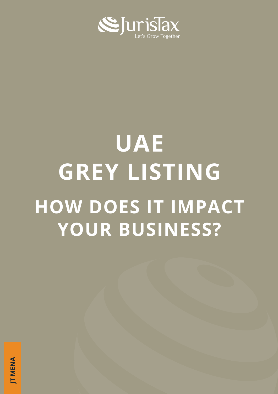

# UAE GREY LISTING HOW DOES IT IMPACT YOUR BUSINESS?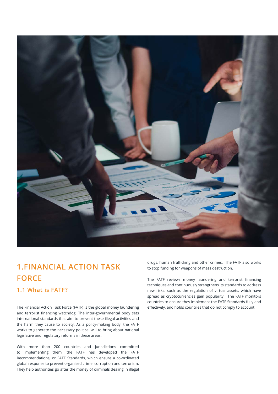

## 1.FINANCIAL ACTION TASK FORCE

#### 1.1 What is FATF?

The Financial Action Task Force (FATF) is the global money laundering and terrorist financing watchdog. The inter-governmental body sets international standards that aim to prevent these illegal activities and the harm they cause to society. As a policy-making body, the FATF works to generate the necessary political will to bring about national legislative and regulatory reforms in these areas.

With more than 200 countries and jurisdictions committed to implementing them, the FATF has developed the FATF Recommendations, or FATF Standards, which ensure a co-ordinated global response to prevent organised crime, corruption and terrorism. They help authorities go after the money of criminals dealing in illegal drugs, human trafficking and other crimes. The FATF also works to stop funding for weapons of mass destruction.

The FATF reviews money laundering and terrorist financing techniques and continuously strengthens its standards to address new risks, such as the regulation of virtual assets, which have spread as cryptocurrencies gain popularity. The FATF monitors countries to ensure they implement the FATF Standards fully and effectively, and holds countries that do not comply to account.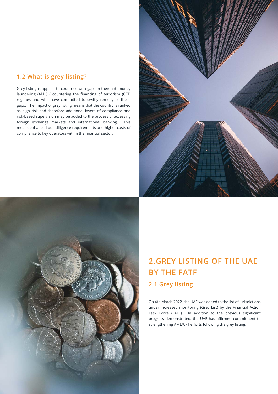#### 1.2 What is grey listing?

Grey listing is applied to countries with gaps in their anti-money laundering (AML) / countering the financing of terrorism (CFT) regimes and who have committed to swiftly remedy of these gaps. The impact of grey listing means that the country is ranked as high risk and therefore additional layers of compliance and risk-based supervision may be added to the process of accessing foreign exchange markets and international banking. This means enhanced due diligence requirements and higher costs of compliance to key operators within the financial sector.





## 2.GREY LISTING OF THE UAE BY THE FATF 2.1 Grey listing

On 4th March 2022, the UAE was added to the list of jurisdictions under increased monitoring (Grey List) by the Financial Action Task Force (FATF). In addition to the previous significant progress demonstrated, the UAE has affirmed commitment to

strengthening AML/CFT efforts following the grey listing.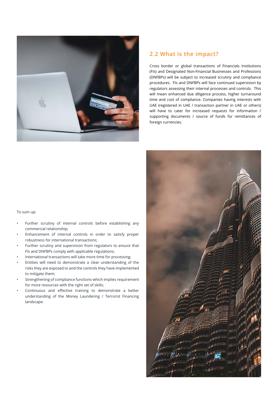

#### 2.2 What is the impact?

Cross border or global transactions of Financials Institutions (FIs) and Designated Non-Financial Businesses and Professions (DNFBPs) will be subject to increased scrutiny and compliance procedures. FIs and DNFBPs will face continued supervision by regulators assessing their internal processes and controls. This will mean enhanced due diligence process, higher turnaround time and cost of compliance. Companies having interests with UAE (registered in UAE / transaction partner in UAE or others) will have to cater for increased requests for information / supporting documents / source of funds for remittances of foreign currencies.



- Further scrutiny of internal controls before establishing any commercial relationship;
- Enhancement of internal controls in order to satisfy proper robustness for international transactions;
- Further scrutiny and supervision from regulators to ensure that FIs and DNFBPs comply with applicable regulations;
- International transactions will take more time for processing;
- Entities will need to demonstrate a clear understanding of the risks they are exposed to and the controls they have implemented to mitigate them;
- Strengthening of compliance functions which implies requirement for more resources with the right set of skills;
- Continuous and effective training to demonstrate a better understanding of the Money Laundering / Terrorist Financing landscape.

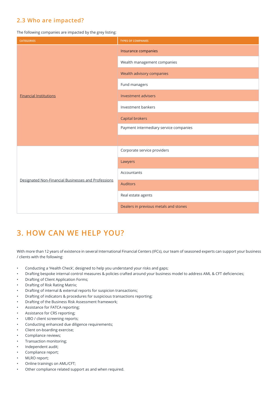#### 2.3 Who are impacted?

The following companies are impacted by the grey listing:

| <b>CATEGORIES</b>                                   | <b>TYPES OF COMPANIES</b>              |
|-----------------------------------------------------|----------------------------------------|
| <b>Financial Institutions</b>                       | Insurance companies                    |
|                                                     | Wealth management companies            |
|                                                     | Wealth advisory companies              |
|                                                     | Fund managers                          |
|                                                     | Investment advisers                    |
|                                                     | Investment bankers                     |
|                                                     | Capital brokers                        |
|                                                     | Payment intermediary service companies |
|                                                     |                                        |
| Designated Non-Financial Businesses and Professions | Corporate service providers            |
|                                                     | Lawyers                                |
|                                                     | Accountants                            |
|                                                     | <b>Auditors</b>                        |
|                                                     | Real estate agents                     |
|                                                     | Dealers in previous metals and stones  |

## 3. HOW CAN WE HELP YOU?

With more than 12 years of existence in several International Financial Centers (IFCs), our team of seasoned experts can support your business / clients with the following:

- Conducting a 'Health Check', designed to help you understand your risks and gaps;
- Drafting bespoke internal control measures & policies crafted around your business model to address AML & CFT deficiencies;
- Drafting of Client Application Forms;
- Drafting of Risk Rating Matrix;
- Drafting of internal & external reports for suspicion transactions;
- Drafting of indicators & procedures for suspicious transactions reporting;
- Drafting of the Business Risk Assessment framework;
- Assistance for FATCA reporting;
- Assistance for CRS reporting;
- UBO / client screening reports;
- Conducting enhanced due diligence requirements;
- Client on-boarding exercise;
- Compliance reviews;
- Transaction monitoring;
- Independent audit;
- Compliance report;
- MLRO report;
- Online trainings on AML/CFT;
- Other compliance related support as and when required.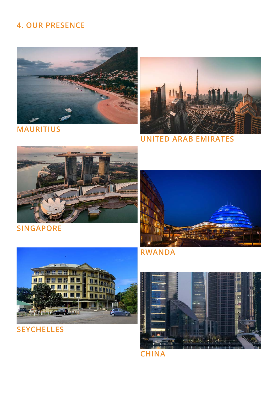## 4. OUR PRESENCE





UNITED ARAB EMIRATES



SINGAPORE





**SEYCHELLES** 





**CHINA**